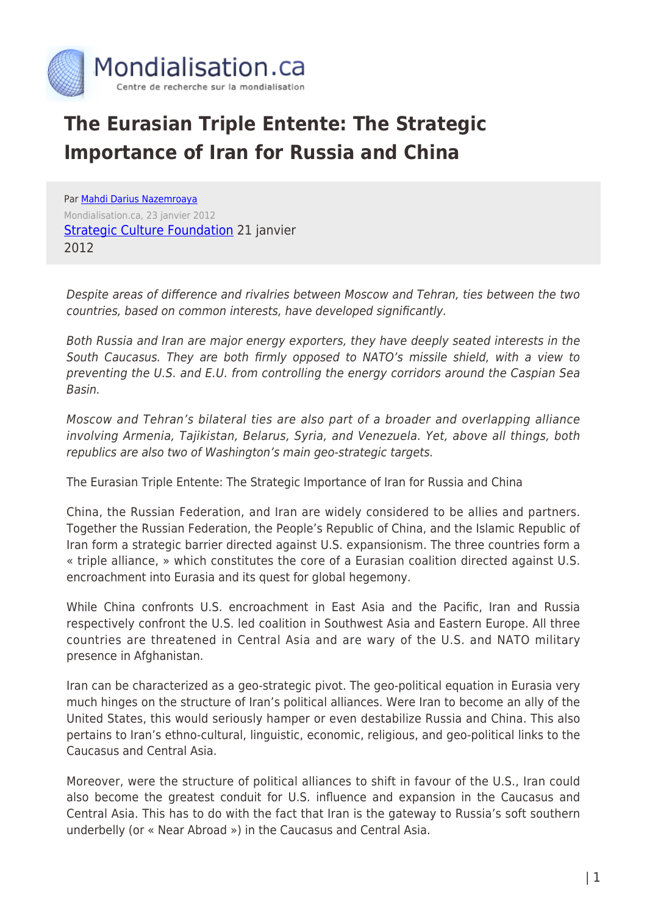

## **The Eurasian Triple Entente: The Strategic Importance of Iran for Russia and China**

Par [Mahdi Darius Nazemroaya](https://www.mondialisation.ca/author/mahdi-darius-nazemroaya) Mondialisation.ca, 23 janvier 2012 **[Strategic Culture Foundation](http://www.strategic-culture.org/news/2012/01/22/eurasian-triple-entente-touch-iran-war-hear-russia-china.html) 21 janvier** 2012

Despite areas of difference and rivalries between Moscow and Tehran, ties between the two countries, based on common interests, have developed significantly.

Both Russia and Iran are major energy exporters, they have deeply seated interests in the South Caucasus. They are both firmly opposed to NATO's missile shield, with a view to preventing the U.S. and E.U. from controlling the energy corridors around the Caspian Sea Basin.

Moscow and Tehran's bilateral ties are also part of a broader and overlapping alliance involving Armenia, Tajikistan, Belarus, Syria, and Venezuela. Yet, above all things, both republics are also two of Washington's main geo-strategic targets.

The Eurasian Triple Entente: The Strategic Importance of Iran for Russia and China

China, the Russian Federation, and Iran are widely considered to be allies and partners. Together the Russian Federation, the People's Republic of China, and the Islamic Republic of Iran form a strategic barrier directed against U.S. expansionism. The three countries form a « triple alliance, » which constitutes the core of a Eurasian coalition directed against U.S. encroachment into Eurasia and its quest for global hegemony.

While China confronts U.S. encroachment in East Asia and the Pacific, Iran and Russia respectively confront the U.S. led coalition in Southwest Asia and Eastern Europe. All three countries are threatened in Central Asia and are wary of the U.S. and NATO military presence in Afghanistan.

Iran can be characterized as a geo-strategic pivot. The geo-political equation in Eurasia very much hinges on the structure of Iran's political alliances. Were Iran to become an ally of the United States, this would seriously hamper or even destabilize Russia and China. This also pertains to Iran's ethno-cultural, linguistic, economic, religious, and geo-political links to the Caucasus and Central Asia.

Moreover, were the structure of political alliances to shift in favour of the U.S., Iran could also become the greatest conduit for U.S. influence and expansion in the Caucasus and Central Asia. This has to do with the fact that Iran is the gateway to Russia's soft southern underbelly (or « Near Abroad ») in the Caucasus and Central Asia.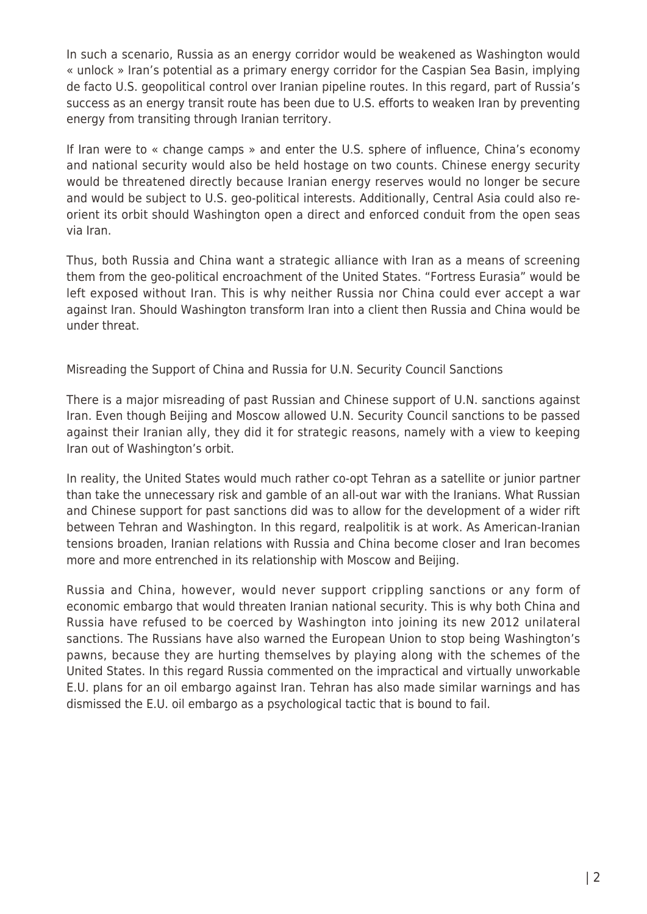In such a scenario, Russia as an energy corridor would be weakened as Washington would « unlock » Iran's potential as a primary energy corridor for the Caspian Sea Basin, implying de facto U.S. geopolitical control over Iranian pipeline routes. In this regard, part of Russia's success as an energy transit route has been due to U.S. efforts to weaken Iran by preventing energy from transiting through Iranian territory.

If Iran were to « change camps » and enter the U.S. sphere of influence, China's economy and national security would also be held hostage on two counts. Chinese energy security would be threatened directly because Iranian energy reserves would no longer be secure and would be subject to U.S. geo-political interests. Additionally, Central Asia could also reorient its orbit should Washington open a direct and enforced conduit from the open seas via Iran.

Thus, both Russia and China want a strategic alliance with Iran as a means of screening them from the geo-political encroachment of the United States. "Fortress Eurasia" would be left exposed without Iran. This is why neither Russia nor China could ever accept a war against Iran. Should Washington transform Iran into a client then Russia and China would be under threat.

Misreading the Support of China and Russia for U.N. Security Council Sanctions

There is a major misreading of past Russian and Chinese support of U.N. sanctions against Iran. Even though Beijing and Moscow allowed U.N. Security Council sanctions to be passed against their Iranian ally, they did it for strategic reasons, namely with a view to keeping Iran out of Washington's orbit.

In reality, the United States would much rather co-opt Tehran as a satellite or junior partner than take the unnecessary risk and gamble of an all-out war with the Iranians. What Russian and Chinese support for past sanctions did was to allow for the development of a wider rift between Tehran and Washington. In this regard, realpolitik is at work. As American-Iranian tensions broaden, Iranian relations with Russia and China become closer and Iran becomes more and more entrenched in its relationship with Moscow and Beijing.

Russia and China, however, would never support crippling sanctions or any form of economic embargo that would threaten Iranian national security. This is why both China and Russia have refused to be coerced by Washington into joining its new 2012 unilateral sanctions. The Russians have also warned the European Union to stop being Washington's pawns, because they are hurting themselves by playing along with the schemes of the United States. In this regard Russia commented on the impractical and virtually unworkable E.U. plans for an oil embargo against Iran. Tehran has also made similar warnings and has dismissed the E.U. oil embargo as a psychological tactic that is bound to fail.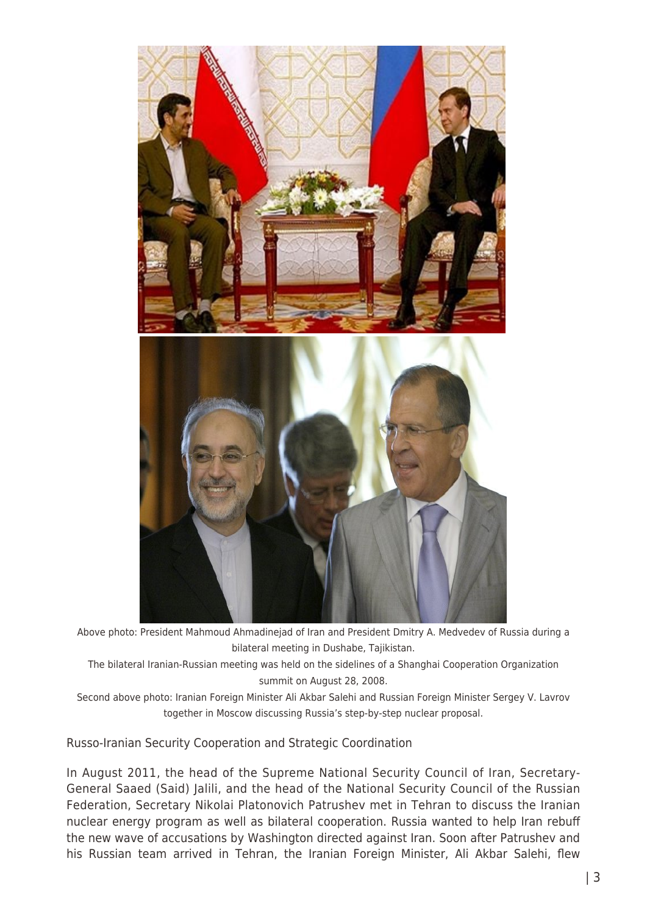

Above photo: President Mahmoud Ahmadinejad of Iran and President Dmitry A. Medvedev of Russia during a bilateral meeting in Dushabe, Tajikistan.

The bilateral Iranian-Russian meeting was held on the sidelines of a Shanghai Cooperation Organization summit on August 28, 2008.

Second above photo: Iranian Foreign Minister Ali Akbar Salehi and Russian Foreign Minister Sergey V. Lavrov together in Moscow discussing Russia's step-by-step nuclear proposal.

Russo-Iranian Security Cooperation and Strategic Coordination

In August 2011, the head of the Supreme National Security Council of Iran, Secretary-General Saaed (Said) Jalili, and the head of the National Security Council of the Russian Federation, Secretary Nikolai Platonovich Patrushev met in Tehran to discuss the Iranian nuclear energy program as well as bilateral cooperation. Russia wanted to help Iran rebuff the new wave of accusations by Washington directed against Iran. Soon after Patrushev and his Russian team arrived in Tehran, the Iranian Foreign Minister, Ali Akbar Salehi, flew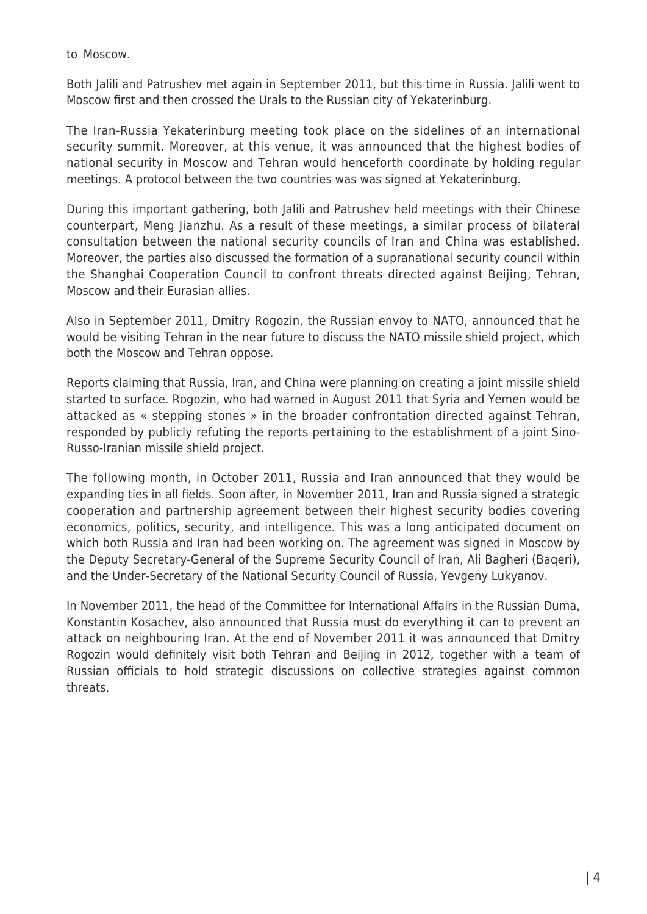to Moscow.

Both Jalili and Patrushev met again in September 2011, but this time in Russia. Jalili went to Moscow first and then crossed the Urals to the Russian city of Yekaterinburg.

The Iran-Russia Yekaterinburg meeting took place on the sidelines of an international security summit. Moreover, at this venue, it was announced that the highest bodies of national security in Moscow and Tehran would henceforth coordinate by holding regular meetings. A protocol between the two countries was was signed at Yekaterinburg.

During this important gathering, both Jalili and Patrushev held meetings with their Chinese counterpart, Meng Jianzhu. As a result of these meetings, a similar process of bilateral consultation between the national security councils of Iran and China was established. Moreover, the parties also discussed the formation of a supranational security council within the Shanghai Cooperation Council to confront threats directed against Beijing, Tehran, Moscow and their Eurasian allies.

Also in September 2011, Dmitry Rogozin, the Russian envoy to NATO, announced that he would be visiting Tehran in the near future to discuss the NATO missile shield project, which both the Moscow and Tehran oppose.

Reports claiming that Russia, Iran, and China were planning on creating a joint missile shield started to surface. Rogozin, who had warned in August 2011 that Syria and Yemen would be attacked as « stepping stones » in the broader confrontation directed against Tehran, responded by publicly refuting the reports pertaining to the establishment of a joint Sino-Russo-Iranian missile shield project.

The following month, in October 2011, Russia and Iran announced that they would be expanding ties in all fields. Soon after, in November 2011, Iran and Russia signed a strategic cooperation and partnership agreement between their highest security bodies covering economics, politics, security, and intelligence. This was a long anticipated document on which both Russia and Iran had been working on. The agreement was signed in Moscow by the Deputy Secretary-General of the Supreme Security Council of Iran, Ali Bagheri (Baqeri), and the Under-Secretary of the National Security Council of Russia, Yevgeny Lukyanov.

In November 2011, the head of the Committee for International Affairs in the Russian Duma, Konstantin Kosachev, also announced that Russia must do everything it can to prevent an attack on neighbouring Iran. At the end of November 2011 it was announced that Dmitry Rogozin would definitely visit both Tehran and Beijing in 2012, together with a team of Russian officials to hold strategic discussions on collective strategies against common threats.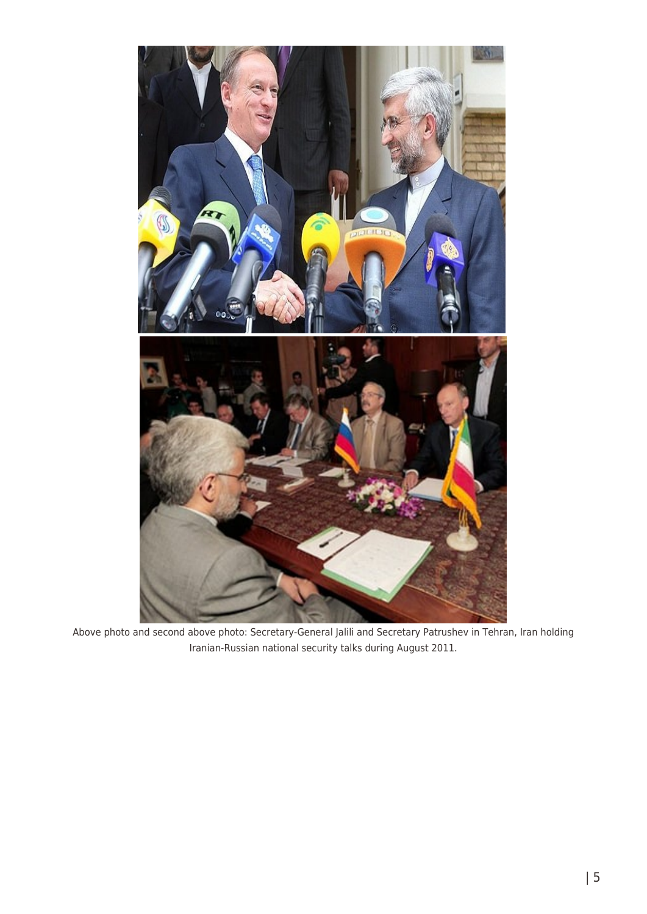

Above photo and second above photo: Secretary-General Jalili and Secretary Patrushev in Tehran, Iran holding Iranian-Russian national security talks during August 2011.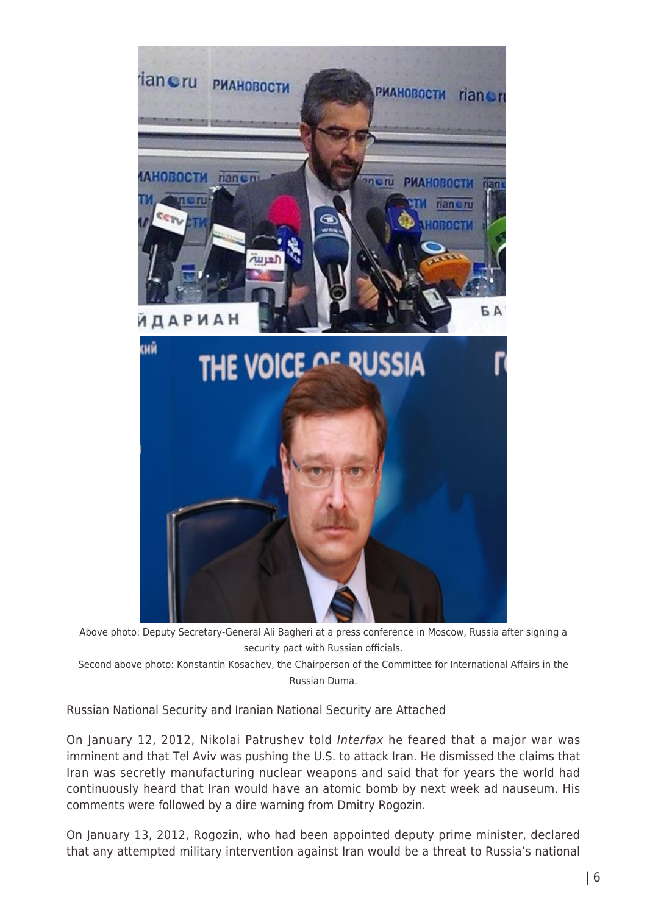

Above photo: Deputy Secretary-General Ali Bagheri at a press conference in Moscow, Russia after signing a security pact with Russian officials.

Second above photo: Konstantin Kosachev, the Chairperson of the Committee for International Affairs in the Russian Duma.

Russian National Security and Iranian National Security are Attached

On January 12, 2012, Nikolai Patrushev told Interfax he feared that a major war was imminent and that Tel Aviv was pushing the U.S. to attack Iran. He dismissed the claims that Iran was secretly manufacturing nuclear weapons and said that for years the world had continuously heard that Iran would have an atomic bomb by next week ad nauseum. His comments were followed by a dire warning from Dmitry Rogozin.

On January 13, 2012, Rogozin, who had been appointed deputy prime minister, declared that any attempted military intervention against Iran would be a threat to Russia's national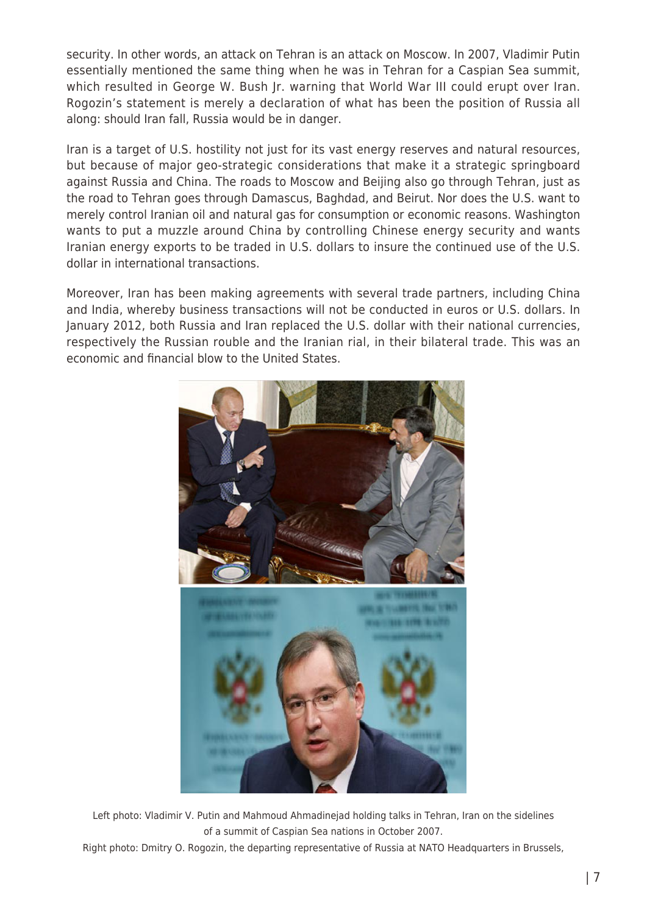security. In other words, an attack on Tehran is an attack on Moscow. In 2007, Vladimir Putin essentially mentioned the same thing when he was in Tehran for a Caspian Sea summit, which resulted in George W. Bush Jr. warning that World War III could erupt over Iran. Rogozin's statement is merely a declaration of what has been the position of Russia all along: should Iran fall, Russia would be in danger.

Iran is a target of U.S. hostility not just for its vast energy reserves and natural resources, but because of major geo-strategic considerations that make it a strategic springboard against Russia and China. The roads to Moscow and Beijing also go through Tehran, just as the road to Tehran goes through Damascus, Baghdad, and Beirut. Nor does the U.S. want to merely control Iranian oil and natural gas for consumption or economic reasons. Washington wants to put a muzzle around China by controlling Chinese energy security and wants Iranian energy exports to be traded in U.S. dollars to insure the continued use of the U.S. dollar in international transactions.

Moreover, Iran has been making agreements with several trade partners, including China and India, whereby business transactions will not be conducted in euros or U.S. dollars. In January 2012, both Russia and Iran replaced the U.S. dollar with their national currencies, respectively the Russian rouble and the Iranian rial, in their bilateral trade. This was an economic and financial blow to the United States.



Left photo: Vladimir V. Putin and Mahmoud Ahmadinejad holding talks in Tehran, Iran on the sidelines of a summit of Caspian Sea nations in October 2007.

Right photo: Dmitry O. Rogozin, the departing representative of Russia at NATO Headquarters in Brussels,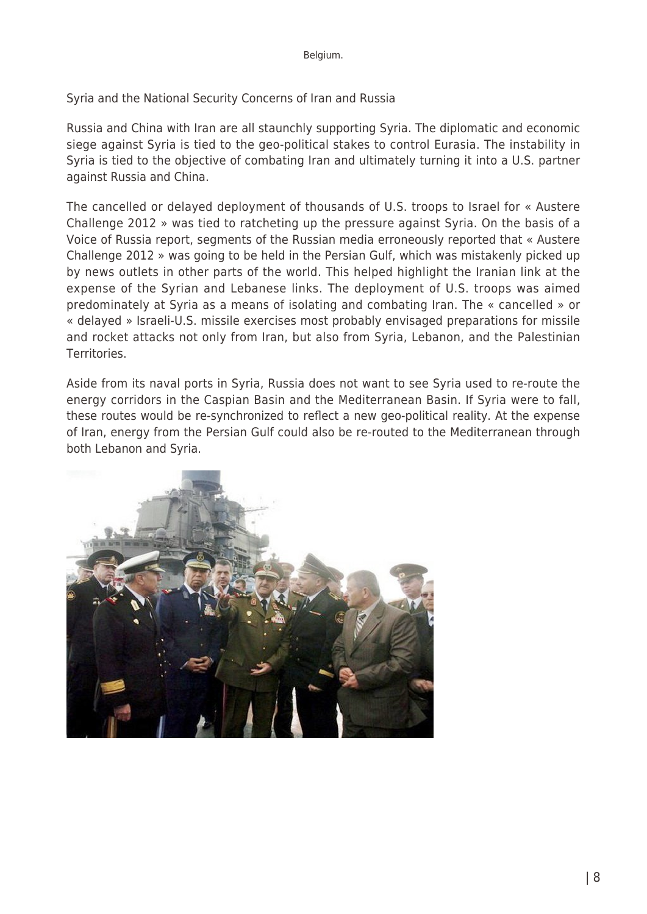Syria and the National Security Concerns of Iran and Russia

Russia and China with Iran are all staunchly supporting Syria. The diplomatic and economic siege against Syria is tied to the geo-political stakes to control Eurasia. The instability in Syria is tied to the objective of combating Iran and ultimately turning it into a U.S. partner against Russia and China.

The cancelled or delayed deployment of thousands of U.S. troops to Israel for « Austere Challenge 2012 » was tied to ratcheting up the pressure against Syria. On the basis of a Voice of Russia report, segments of the Russian media erroneously reported that « Austere Challenge 2012 » was going to be held in the Persian Gulf, which was mistakenly picked up by news outlets in other parts of the world. This helped highlight the Iranian link at the expense of the Syrian and Lebanese links. The deployment of U.S. troops was aimed predominately at Syria as a means of isolating and combating Iran. The « cancelled » or « delayed » Israeli-U.S. missile exercises most probably envisaged preparations for missile and rocket attacks not only from Iran, but also from Syria, Lebanon, and the Palestinian Territories.

Aside from its naval ports in Syria, Russia does not want to see Syria used to re-route the energy corridors in the Caspian Basin and the Mediterranean Basin. If Syria were to fall, these routes would be re-synchronized to reflect a new geo-political reality. At the expense of Iran, energy from the Persian Gulf could also be re-routed to the Mediterranean through both Lebanon and Syria.

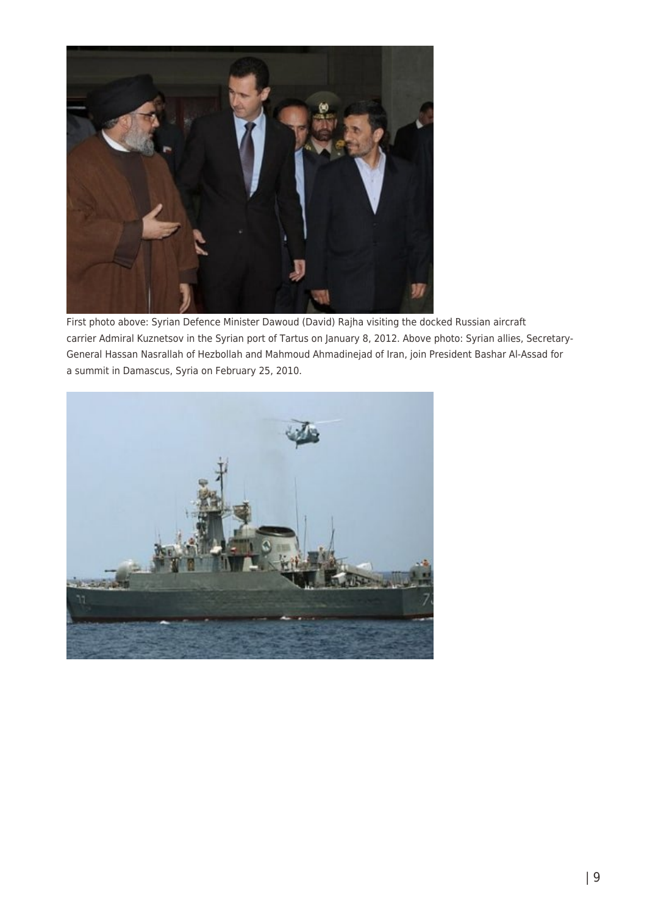

First photo above: Syrian Defence Minister Dawoud (David) Rajha visiting the docked Russian aircraft carrier Admiral Kuznetsov in the Syrian port of Tartus on January 8, 2012. Above photo: Syrian allies, Secretary-General Hassan Nasrallah of Hezbollah and Mahmoud Ahmadinejad of Iran, join President Bashar Al-Assad for a summit in Damascus, Syria on February 25, 2010.

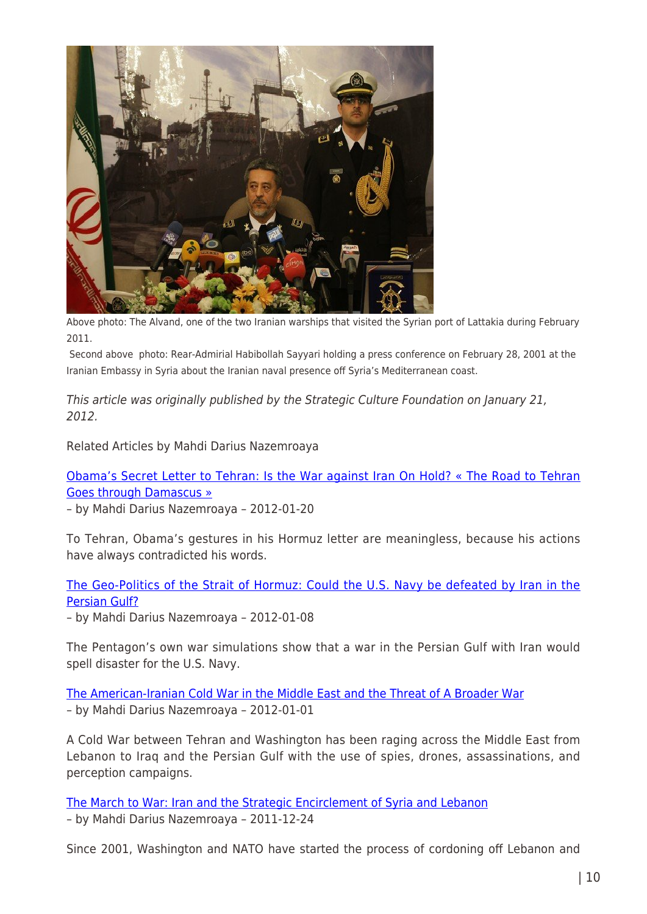

Above photo: The Alvand, one of the two Iranian warships that visited the Syrian port of Lattakia during February 2011.

 Second above photo: Rear-Admirial Habibollah Sayyari holding a press conference on February 28, 2001 at the Iranian Embassy in Syria about the Iranian naval presence off Syria's Mediterranean coast.

This article was originally published by the Strategic Culture Foundation on January 21, 2012.

Related Articles by Mahdi Darius Nazemroaya

[Obama's Secret Letter to Tehran: Is the War against Iran On Hold? « The Road to Tehran](http://www.globalresearch.ca/index.php?context=va&aid=28736) [Goes through Damascus »](http://www.globalresearch.ca/index.php?context=va&aid=28736)

– by Mahdi Darius Nazemroaya – 2012-01-20

To Tehran, Obama's gestures in his Hormuz letter are meaningless, because his actions have always contradicted his words.

[The Geo-Politics of the Strait of Hormuz: Could the U.S. Navy be defeated by Iran in the](http://www.globalresearch.ca/index.php?context=va&aid=28516) [Persian Gulf?](http://www.globalresearch.ca/index.php?context=va&aid=28516)

– by Mahdi Darius Nazemroaya – 2012-01-08

The Pentagon's own war simulations show that a war in the Persian Gulf with Iran would spell disaster for the U.S. Navy.

[The American-Iranian Cold War in the Middle East and the Threat of A Broader War](http://www.globalresearch.ca/index.php?context=va&aid=28439) – by Mahdi Darius Nazemroaya – 2012-01-01

A Cold War between Tehran and Washington has been raging across the Middle East from Lebanon to Iraq and the Persian Gulf with the use of spies, drones, assassinations, and perception campaigns.

[The March to War: Iran and the Strategic Encirclement of Syria and Lebanon](http://www.globalresearch.ca/index.php?context=va&aid=28018) – by Mahdi Darius Nazemroaya – 2011-12-24

Since 2001, Washington and NATO have started the process of cordoning off Lebanon and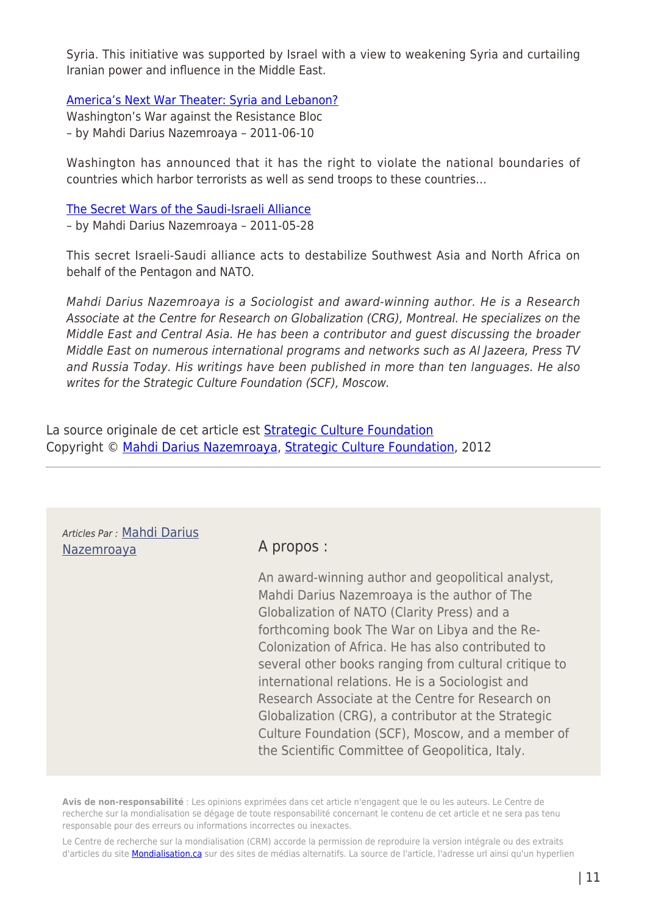Syria. This initiative was supported by Israel with a view to weakening Syria and curtailing Iranian power and influence in the Middle East.

[America's Next War Theater: Syria and Lebanon?](http://www.globalresearch.ca/index.php?context=va&aid=25000)

Washington's War against the Resistance Bloc – by Mahdi Darius Nazemroaya – 2011-06-10

Washington has announced that it has the right to violate the national boundaries of countries which harbor terrorists as well as send troops to these countries…

[The Secret Wars of the Saudi-Israeli Alliance](http://www.globalresearch.ca/index.php?context=va&aid=24744) – by Mahdi Darius Nazemroaya – 2011-05-28

This secret Israeli-Saudi alliance acts to destabilize Southwest Asia and North Africa on behalf of the Pentagon and NATO.

Mahdi Darius Nazemroaya is a Sociologist and award-winning author. He is a Research Associate at the Centre for Research on Globalization (CRG), Montreal. He specializes on the Middle East and Central Asia. He has been a contributor and guest discussing the broader Middle East on numerous international programs and networks such as Al Jazeera, Press TV and Russia Today. His writings have been published in more than ten languages. He also writes for the Strategic Culture Foundation (SCF), Moscow.

La source originale de cet article est **[Strategic Culture Foundation](http://www.strategic-culture.org/news/2012/01/22/eurasian-triple-entente-touch-iran-war-hear-russia-china.html)** Copyright © [Mahdi Darius Nazemroaya](https://www.mondialisation.ca/author/mahdi-darius-nazemroaya), [Strategic Culture Foundation](http://www.strategic-culture.org/news/2012/01/22/eurasian-triple-entente-touch-iran-war-hear-russia-china.html), 2012

| Articles Par : Mahdi Darius<br><u>Nazemroaya</u> | A propos:                                                                                                                                                                                                                                                                                                                                                                                                                                                                                                                                                                               |
|--------------------------------------------------|-----------------------------------------------------------------------------------------------------------------------------------------------------------------------------------------------------------------------------------------------------------------------------------------------------------------------------------------------------------------------------------------------------------------------------------------------------------------------------------------------------------------------------------------------------------------------------------------|
|                                                  | An award-winning author and geopolitical analyst,<br>Mahdi Darius Nazemroaya is the author of The<br>Globalization of NATO (Clarity Press) and a<br>forthcoming book The War on Libya and the Re-<br>Colonization of Africa. He has also contributed to<br>several other books ranging from cultural critique to<br>international relations. He is a Sociologist and<br>Research Associate at the Centre for Research on<br>Globalization (CRG), a contributor at the Strategic<br>Culture Foundation (SCF), Moscow, and a member of<br>the Scientific Committee of Geopolitica, Italy. |

**Avis de non-responsabilité** : Les opinions exprimées dans cet article n'engagent que le ou les auteurs. Le Centre de recherche sur la mondialisation se dégage de toute responsabilité concernant le contenu de cet article et ne sera pas tenu responsable pour des erreurs ou informations incorrectes ou inexactes.

Le Centre de recherche sur la mondialisation (CRM) accorde la permission de reproduire la version intégrale ou des extraits d'articles du site **Mondialisation.ca** sur des sites de médias alternatifs. La source de l'article, l'adresse url ainsi qu'un hyperlien